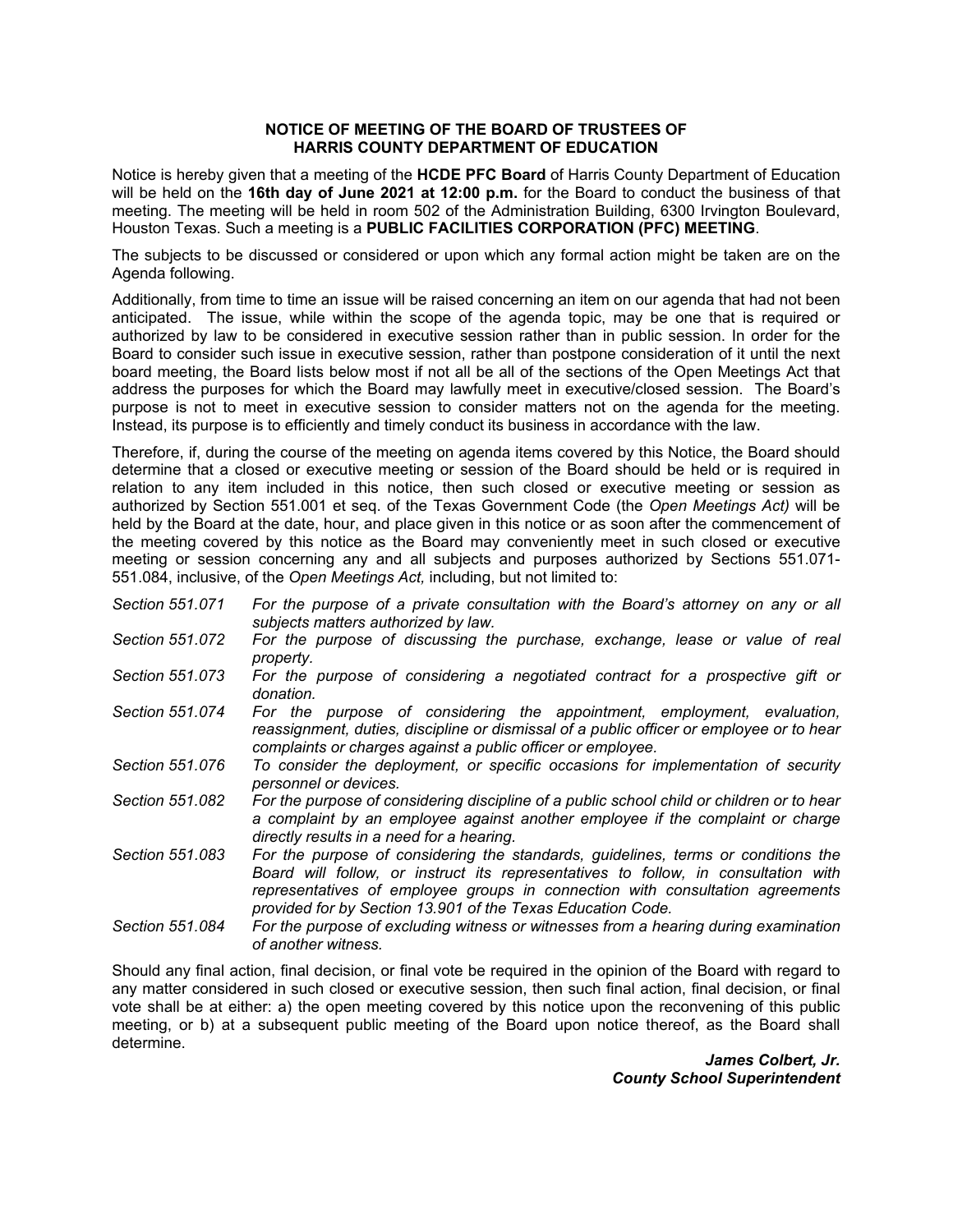## **NOTICE OF MEETING OF THE BOARD OF TRUSTEES OF HARRIS COUNTY DEPARTMENT OF EDUCATION**

Notice is hereby given that a meeting of the **HCDE PFC Board** of Harris County Department of Education will be held on the **16th day of June 2021 at 12:00 p.m.** for the Board to conduct the business of that meeting. The meeting will be held in room 502 of the Administration Building, 6300 Irvington Boulevard, Houston Texas. Such a meeting is a **PUBLIC FACILITIES CORPORATION (PFC) MEETING**.

The subjects to be discussed or considered or upon which any formal action might be taken are on the Agenda following.

Additionally, from time to time an issue will be raised concerning an item on our agenda that had not been anticipated. The issue, while within the scope of the agenda topic, may be one that is required or authorized by law to be considered in executive session rather than in public session. In order for the Board to consider such issue in executive session, rather than postpone consideration of it until the next board meeting, the Board lists below most if not all be all of the sections of the Open Meetings Act that address the purposes for which the Board may lawfully meet in executive/closed session. The Board's purpose is not to meet in executive session to consider matters not on the agenda for the meeting. Instead, its purpose is to efficiently and timely conduct its business in accordance with the law.

Therefore, if, during the course of the meeting on agenda items covered by this Notice, the Board should determine that a closed or executive meeting or session of the Board should be held or is required in relation to any item included in this notice, then such closed or executive meeting or session as authorized by Section 551.001 et seq. of the Texas Government Code (the *Open Meetings Act)* will be held by the Board at the date, hour, and place given in this notice or as soon after the commencement of the meeting covered by this notice as the Board may conveniently meet in such closed or executive meeting or session concerning any and all subjects and purposes authorized by Sections 551.071- 551.084, inclusive, of the *Open Meetings Act,* including, but not limited to:

- *Section 551.071 For the purpose of a private consultation with the Board's attorney on any or all subjects matters authorized by law.*
- *Section 551.072 For the purpose of discussing the purchase, exchange, lease or value of real property.*
- *Section 551.073 For the purpose of considering a negotiated contract for a prospective gift or donation.*
- *Section 551.074 For the purpose of considering the appointment, employment, evaluation, reassignment, duties, discipline or dismissal of a public officer or employee or to hear complaints or charges against a public officer or employee.*
- *Section 551.076 To consider the deployment, or specific occasions for implementation of security personnel or devices.*
- *Section 551.082 For the purpose of considering discipline of a public school child or children or to hear a complaint by an employee against another employee if the complaint or charge directly results in a need for a hearing.*
- *Section 551.083 For the purpose of considering the standards, guidelines, terms or conditions the Board will follow, or instruct its representatives to follow, in consultation with representatives of employee groups in connection with consultation agreements provided for by Section 13.901 of the Texas Education Code.*
- *Section 551.084 For the purpose of excluding witness or witnesses from a hearing during examination of another witness.*

Should any final action, final decision, or final vote be required in the opinion of the Board with regard to any matter considered in such closed or executive session, then such final action, final decision, or final vote shall be at either: a) the open meeting covered by this notice upon the reconvening of this public meeting, or b) at a subsequent public meeting of the Board upon notice thereof, as the Board shall determine.

> *James Colbert, Jr. County School Superintendent*